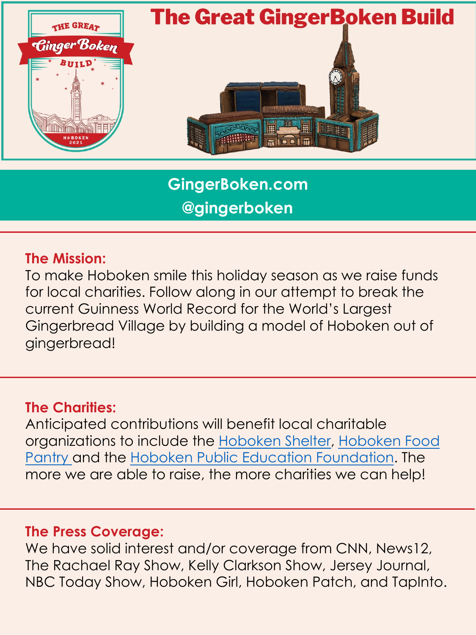

**GingerBoken.com @gingerboken**

#### **The Mission:**

To make Hoboken smile this holiday season as we raise funds for local charities. Follow along in our attempt to break the current Guinness World Record for the World's Largest Gingerbread Village by building a model of Hoboken out of gingerbread!

#### **[The Charities:](https://www.hobokencc.org/foodpantry)**

Anticipated contributions will benefit local charitable organizations to include the Hoboken Shelter, Hoboken Food Pantry and the Hoboken Public Education Foundation. The more we are able to raise, the more charities we can help!

#### **The Press Coverage:**

We have solid interest and/or coverage from CNN, News12, The Rachael Ray Show, Kelly Clarkson Show, Jersey Journal, NBC Today Show, Hoboken Girl, Hoboken Patch, and TapInto.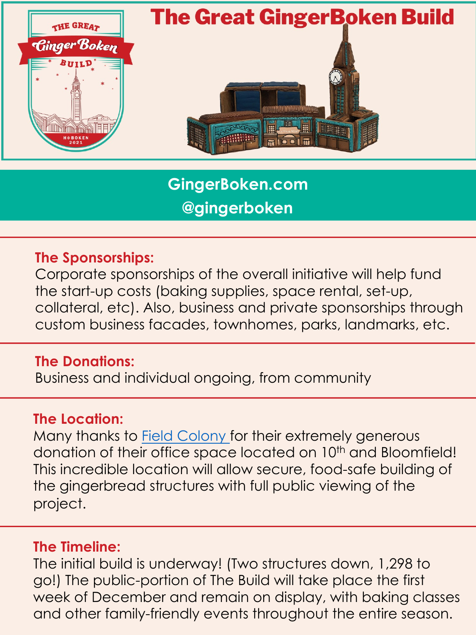

**GingerBoken.com @gingerboken**

#### **The Sponsorships:**

Corporate sponsorships of the overall initiative will help fund the start-up costs (baking supplies, space rental, set-up, collateral, etc). Also, business and private sponsorships through custom business facades, townhomes, parks, landmarks, etc.

#### **The Donations:**

Business and in[dividual ongo](https://www.fieldcolony.com/)ing, from community

### **The Location:**

Many thanks to Field Colony for their extremely generous donation of their office space located on 10<sup>th</sup> and Bloomfield! This incredible location will allow secure, food-safe building of the gingerbread structures with full public viewing of the project.

#### **The Timeline:**

The initial build is underway! (Two structures down, 1,298 to go!) The public-portion of The Build will take place the first week of December and remain on display, with baking classes and other family-friendly events throughout the entire season.